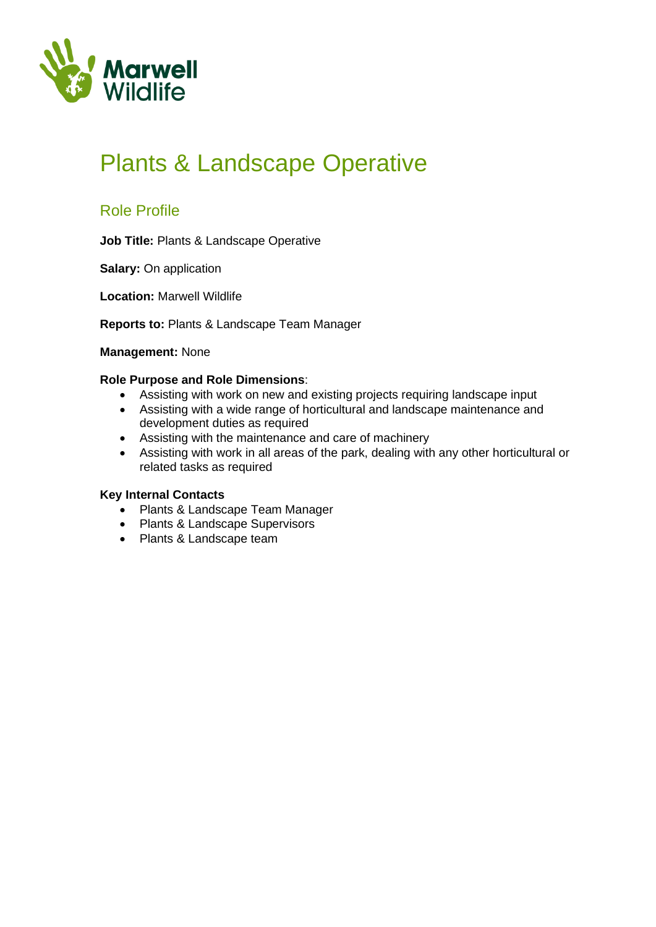

# Plants & Landscape Operative

### Role Profile

**Job Title:** Plants & Landscape Operative

**Salary:** On application

**Location:** Marwell Wildlife

**Reports to:** Plants & Landscape Team Manager

#### **Management:** None

### **Role Purpose and Role Dimensions**:

- Assisting with work on new and existing projects requiring landscape input
- Assisting with a wide range of horticultural and landscape maintenance and development duties as required
- Assisting with the maintenance and care of machinery
- Assisting with work in all areas of the park, dealing with any other horticultural or related tasks as required

### **Key Internal Contacts**

- Plants & Landscape Team Manager
- Plants & Landscape Supervisors
- Plants & Landscape team